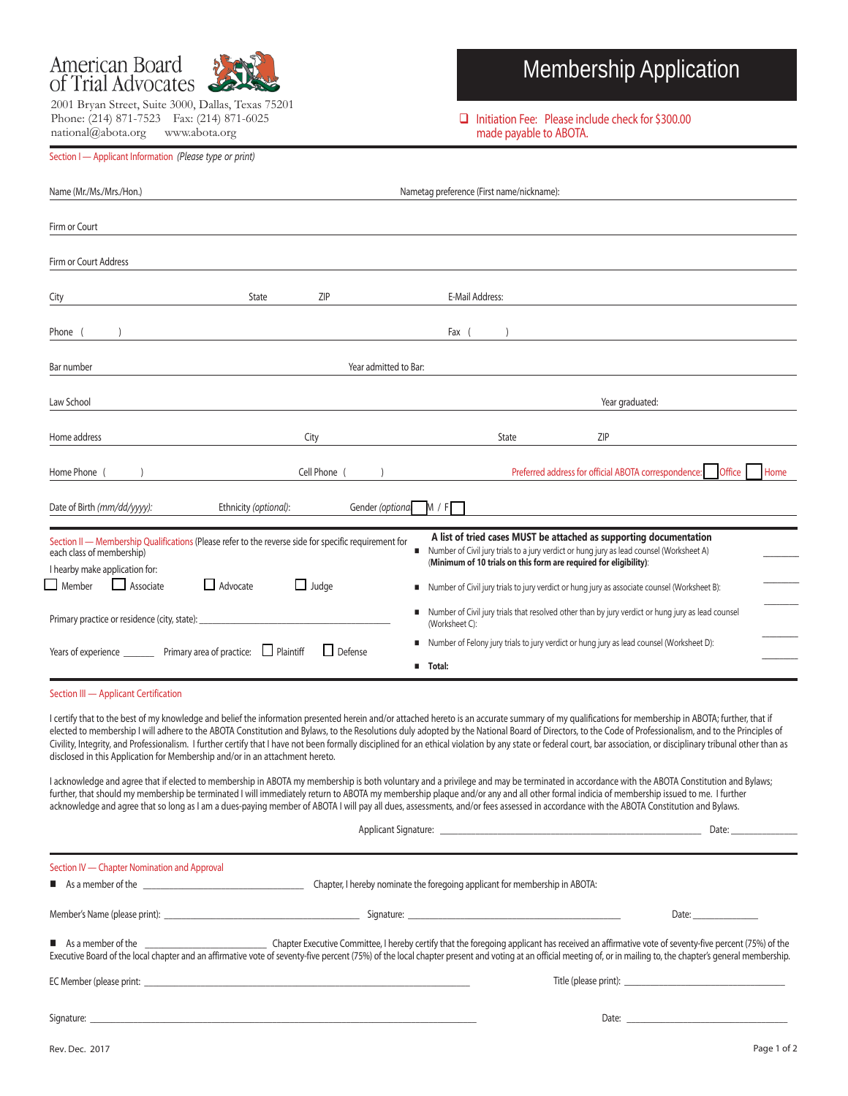

2001 Bryan Street, Suite 3000, Dallas, Texas 75201 Phone: (214) 871-7523 Fax: (214) 871-6025 national@abota.org www.abota.org

# Membership Application

□ Initiation Fee: Please include check for \$300.00 made payable to ABOTA.

| Section I — Applicant Information (Please type or print) |  |  |  |
|----------------------------------------------------------|--|--|--|
|----------------------------------------------------------|--|--|--|

| Name (Mr./Ms./Mrs./Hon.)                                                                                                                                                                                                                                                                                                                                                                                                                                                                                                                                                                                                                                                                                                                                                                                                                                                                                                                                                                                                                                                                                                                                                                                                                                                                                                                                                                                                                                                                                                                                                                                                                                                                                                                                                                                                                                                                                                                                                                                                                                                                                                                                                                                                                                                                                         |              | Nametag preference (First name/nickname):                                                                                                                                                                         |  |  |
|------------------------------------------------------------------------------------------------------------------------------------------------------------------------------------------------------------------------------------------------------------------------------------------------------------------------------------------------------------------------------------------------------------------------------------------------------------------------------------------------------------------------------------------------------------------------------------------------------------------------------------------------------------------------------------------------------------------------------------------------------------------------------------------------------------------------------------------------------------------------------------------------------------------------------------------------------------------------------------------------------------------------------------------------------------------------------------------------------------------------------------------------------------------------------------------------------------------------------------------------------------------------------------------------------------------------------------------------------------------------------------------------------------------------------------------------------------------------------------------------------------------------------------------------------------------------------------------------------------------------------------------------------------------------------------------------------------------------------------------------------------------------------------------------------------------------------------------------------------------------------------------------------------------------------------------------------------------------------------------------------------------------------------------------------------------------------------------------------------------------------------------------------------------------------------------------------------------------------------------------------------------------------------------------------------------|--------------|-------------------------------------------------------------------------------------------------------------------------------------------------------------------------------------------------------------------|--|--|
| Firm or Court                                                                                                                                                                                                                                                                                                                                                                                                                                                                                                                                                                                                                                                                                                                                                                                                                                                                                                                                                                                                                                                                                                                                                                                                                                                                                                                                                                                                                                                                                                                                                                                                                                                                                                                                                                                                                                                                                                                                                                                                                                                                                                                                                                                                                                                                                                    |              |                                                                                                                                                                                                                   |  |  |
| Firm or Court Address                                                                                                                                                                                                                                                                                                                                                                                                                                                                                                                                                                                                                                                                                                                                                                                                                                                                                                                                                                                                                                                                                                                                                                                                                                                                                                                                                                                                                                                                                                                                                                                                                                                                                                                                                                                                                                                                                                                                                                                                                                                                                                                                                                                                                                                                                            |              |                                                                                                                                                                                                                   |  |  |
| City                                                                                                                                                                                                                                                                                                                                                                                                                                                                                                                                                                                                                                                                                                                                                                                                                                                                                                                                                                                                                                                                                                                                                                                                                                                                                                                                                                                                                                                                                                                                                                                                                                                                                                                                                                                                                                                                                                                                                                                                                                                                                                                                                                                                                                                                                                             | ZIP<br>State | E-Mail Address:                                                                                                                                                                                                   |  |  |
| Phone (                                                                                                                                                                                                                                                                                                                                                                                                                                                                                                                                                                                                                                                                                                                                                                                                                                                                                                                                                                                                                                                                                                                                                                                                                                                                                                                                                                                                                                                                                                                                                                                                                                                                                                                                                                                                                                                                                                                                                                                                                                                                                                                                                                                                                                                                                                          |              | Fax (<br><u> 1989 - John Stein, Amerikaansk politiker (</u>                                                                                                                                                       |  |  |
| Bar number<br>Year admitted to Bar:                                                                                                                                                                                                                                                                                                                                                                                                                                                                                                                                                                                                                                                                                                                                                                                                                                                                                                                                                                                                                                                                                                                                                                                                                                                                                                                                                                                                                                                                                                                                                                                                                                                                                                                                                                                                                                                                                                                                                                                                                                                                                                                                                                                                                                                                              |              |                                                                                                                                                                                                                   |  |  |
| Law School                                                                                                                                                                                                                                                                                                                                                                                                                                                                                                                                                                                                                                                                                                                                                                                                                                                                                                                                                                                                                                                                                                                                                                                                                                                                                                                                                                                                                                                                                                                                                                                                                                                                                                                                                                                                                                                                                                                                                                                                                                                                                                                                                                                                                                                                                                       |              | Year graduated:                                                                                                                                                                                                   |  |  |
| Home address                                                                                                                                                                                                                                                                                                                                                                                                                                                                                                                                                                                                                                                                                                                                                                                                                                                                                                                                                                                                                                                                                                                                                                                                                                                                                                                                                                                                                                                                                                                                                                                                                                                                                                                                                                                                                                                                                                                                                                                                                                                                                                                                                                                                                                                                                                     | City         | <b>ZIP</b><br>State                                                                                                                                                                                               |  |  |
| Home Phone (                                                                                                                                                                                                                                                                                                                                                                                                                                                                                                                                                                                                                                                                                                                                                                                                                                                                                                                                                                                                                                                                                                                                                                                                                                                                                                                                                                                                                                                                                                                                                                                                                                                                                                                                                                                                                                                                                                                                                                                                                                                                                                                                                                                                                                                                                                     | Cell Phone ( | Office<br>Preferred address for official ABOTA correspondence:<br>Home                                                                                                                                            |  |  |
| Ethnicity (optional):<br>Gender (optional<br>M / F<br>Date of Birth (mm/dd/yyyy):                                                                                                                                                                                                                                                                                                                                                                                                                                                                                                                                                                                                                                                                                                                                                                                                                                                                                                                                                                                                                                                                                                                                                                                                                                                                                                                                                                                                                                                                                                                                                                                                                                                                                                                                                                                                                                                                                                                                                                                                                                                                                                                                                                                                                                |              |                                                                                                                                                                                                                   |  |  |
| A list of tried cases MUST be attached as supporting documentation<br>Section II — Membership Qualifications (Please refer to the reverse side for specific requirement for<br>Number of Civil jury trials to a jury verdict or hung jury as lead counsel (Worksheet A)<br>each class of membership)<br>(Minimum of 10 trials on this form are required for eligibility):<br>I hearby make application for:<br>Member <b>Associate</b><br>$\Box$ Advocate<br>$\Box$ Judge<br>■ Number of Civil jury trials to jury verdict or hung jury as associate counsel (Worksheet B):<br>Number of Civil jury trials that resolved other than by jury verdict or hung jury as lead counsel<br>Primary practice or residence (city, state): _<br>(Worksheet C):<br>■ Number of Felony jury trials to jury verdict or hung jury as lead counsel (Worksheet D):<br>Years of experience _________ Primary area of practice: D Plaintiff<br>$\Box$ Defense<br><b>Total:</b><br>Section III - Applicant Certification<br>I certify that to the best of my knowledge and belief the information presented herein and/or attached hereto is an accurate summary of my qualifications for membership in ABOTA; further, that if<br>elected to membership I will adhere to the ABOTA Constitution and Bylaws, to the Resolutions duly adopted by the National Board of Directors, to the Code of Professionalism, and to the Principles of<br>Civility, Integrity, and Professionalism. I further certify that I have not been formally disciplined for an ethical violation by any state or federal court, bar association, or disciplinary tribunal other than as<br>disclosed in this Application for Membership and/or in an attachment hereto.<br>I acknowledge and agree that if elected to membership in ABOTA my membership is both voluntary and a privilege and may be terminated in accordance with the ABOTA Constitution and Bylaws;<br>further, that should my membership be terminated I will immediately return to ABOTA my membership plaque and/or any and all other formal indicia of membership issued to me. I further<br>acknowledge and agree that so long as I am a dues-paying member of ABOTA I will pay all dues, assessments, and/or fees assessed in accordance with the ABOTA Constitution and Bylaws. |              |                                                                                                                                                                                                                   |  |  |
| Section IV - Chapter Nomination and Approval                                                                                                                                                                                                                                                                                                                                                                                                                                                                                                                                                                                                                                                                                                                                                                                                                                                                                                                                                                                                                                                                                                                                                                                                                                                                                                                                                                                                                                                                                                                                                                                                                                                                                                                                                                                                                                                                                                                                                                                                                                                                                                                                                                                                                                                                     |              |                                                                                                                                                                                                                   |  |  |
|                                                                                                                                                                                                                                                                                                                                                                                                                                                                                                                                                                                                                                                                                                                                                                                                                                                                                                                                                                                                                                                                                                                                                                                                                                                                                                                                                                                                                                                                                                                                                                                                                                                                                                                                                                                                                                                                                                                                                                                                                                                                                                                                                                                                                                                                                                                  |              |                                                                                                                                                                                                                   |  |  |
|                                                                                                                                                                                                                                                                                                                                                                                                                                                                                                                                                                                                                                                                                                                                                                                                                                                                                                                                                                                                                                                                                                                                                                                                                                                                                                                                                                                                                                                                                                                                                                                                                                                                                                                                                                                                                                                                                                                                                                                                                                                                                                                                                                                                                                                                                                                  |              | Date: $\qquad \qquad$                                                                                                                                                                                             |  |  |
|                                                                                                                                                                                                                                                                                                                                                                                                                                                                                                                                                                                                                                                                                                                                                                                                                                                                                                                                                                                                                                                                                                                                                                                                                                                                                                                                                                                                                                                                                                                                                                                                                                                                                                                                                                                                                                                                                                                                                                                                                                                                                                                                                                                                                                                                                                                  |              | Executive Board of the local chapter and an affirmative vote of seventy-five percent (75%) of the local chapter present and voting at an official meeting of, or in mailing to, the chapter's general membership. |  |  |
|                                                                                                                                                                                                                                                                                                                                                                                                                                                                                                                                                                                                                                                                                                                                                                                                                                                                                                                                                                                                                                                                                                                                                                                                                                                                                                                                                                                                                                                                                                                                                                                                                                                                                                                                                                                                                                                                                                                                                                                                                                                                                                                                                                                                                                                                                                                  |              |                                                                                                                                                                                                                   |  |  |
| Signature:                                                                                                                                                                                                                                                                                                                                                                                                                                                                                                                                                                                                                                                                                                                                                                                                                                                                                                                                                                                                                                                                                                                                                                                                                                                                                                                                                                                                                                                                                                                                                                                                                                                                                                                                                                                                                                                                                                                                                                                                                                                                                                                                                                                                                                                                                                       |              | Date: $\qquad \qquad$                                                                                                                                                                                             |  |  |